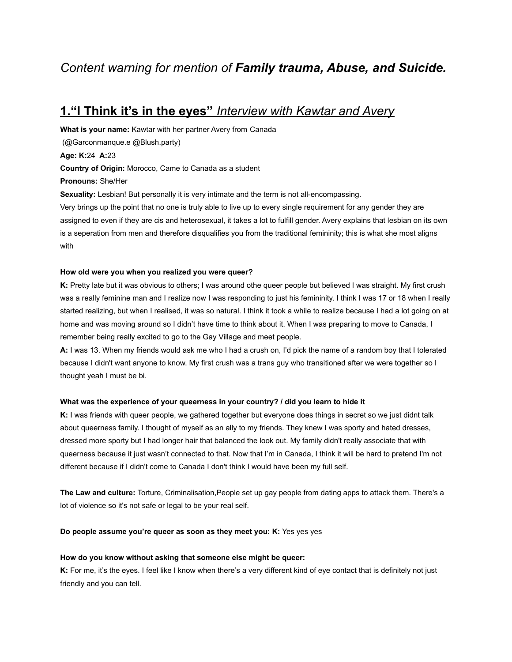# *Content warning for mention of Family trauma, Abuse, and Suicide.*

## **1."I Think it's in the eyes"** *Interview with Kawtar and Avery*

**What is your name:** Kawtar with her partner Avery from Canada (@Garconmanque.e @Blush.party) **Age: K:**24 **A:**23 **Country of Origin:** Morocco, Came to Canada as a student **Pronouns:** She/Her **Sexuality:** Lesbian! But personally it is very intimate and the term is not all-encompassing. Very brings up the point that no one is truly able to live up to every single requirement for any gender they are assigned to even if they are cis and heterosexual, it takes a lot to fulfill gender. Avery explains that lesbian on its own is a seperation from men and therefore disqualifies you from the traditional femininity; this is what she most aligns with

#### **How old were you when you realized you were queer?**

**K:** Pretty late but it was obvious to others; I was around othe queer people but believed I was straight. My first crush was a really feminine man and I realize now I was responding to just his femininity. I think I was 17 or 18 when I really started realizing, but when I realised, it was so natural. I think it took a while to realize because I had a lot going on at home and was moving around so I didn't have time to think about it. When I was preparing to move to Canada, I remember being really excited to go to the Gay Village and meet people.

**A:** I was 13. When my friends would ask me who I had a crush on, I'd pick the name of a random boy that I tolerated because I didn't want anyone to know. My first crush was a trans guy who transitioned after we were together so I thought yeah I must be bi.

#### **What was the experience of your queerness in your country? / did you learn to hide it**

**K:** I was friends with queer people, we gathered together but everyone does things in secret so we just didnt talk about queerness family. I thought of myself as an ally to my friends. They knew I was sporty and hated dresses, dressed more sporty but I had longer hair that balanced the look out. My family didn't really associate that with queerness because it just wasn't connected to that. Now that I'm in Canada, I think it will be hard to pretend I'm not different because if I didn't come to Canada I don't think I would have been my full self.

**The Law and culture:** Torture, Criminalisation,People set up gay people from dating apps to attack them. There's a lot of violence so it's not safe or legal to be your real self.

**Do people assume you're queer as soon as they meet you: K:** Yes yes yes

#### **How do you know without asking that someone else might be queer:**

**K:** For me, it's the eyes. I feel like I know when there's a very different kind of eye contact that is definitely not just friendly and you can tell.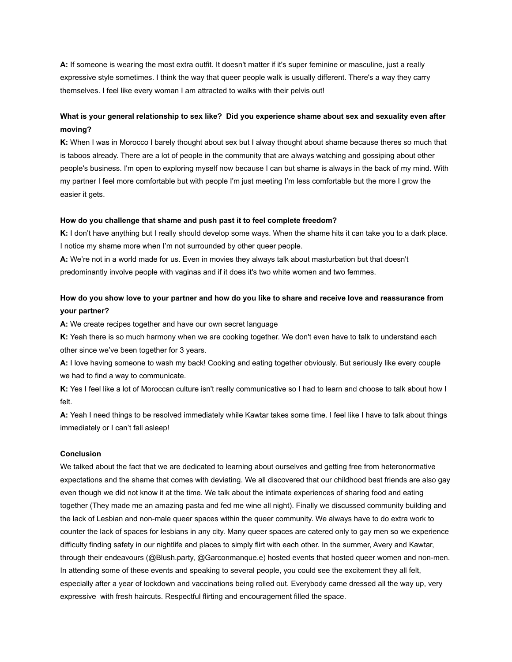**A:** If someone is wearing the most extra outfit. It doesn't matter if it's super feminine or masculine, just a really expressive style sometimes. I think the way that queer people walk is usually different. There's a way they carry themselves. I feel like every woman I am attracted to walks with their pelvis out!

## **What is your general relationship to sex like? Did you experience shame about sex and sexuality even after moving?**

**K:** When I was in Morocco I barely thought about sex but I alway thought about shame because theres so much that is taboos already. There are a lot of people in the community that are always watching and gossiping about other people's business. I'm open to exploring myself now because I can but shame is always in the back of my mind. With my partner I feel more comfortable but with people I'm just meeting I'm less comfortable but the more I grow the easier it gets.

#### **How do you challenge that shame and push past it to feel complete freedom?**

**K:** I don't have anything but I really should develop some ways. When the shame hits it can take you to a dark place. I notice my shame more when I'm not surrounded by other queer people.

**A:** We're not in a world made for us. Even in movies they always talk about masturbation but that doesn't predominantly involve people with vaginas and if it does it's two white women and two femmes.

## **How do you show love to your partner and how do you like to share and receive love and reassurance from your partner?**

**A:** We create recipes together and have our own secret language

**K:** Yeah there is so much harmony when we are cooking together. We don't even have to talk to understand each other since we've been together for 3 years.

**A:** I love having someone to wash my back! Cooking and eating together obviously. But seriously like every couple we had to find a way to communicate.

**K:** Yes I feel like a lot of Moroccan culture isn't really communicative so I had to learn and choose to talk about how I felt.

**A:** Yeah I need things to be resolved immediately while Kawtar takes some time. I feel like I have to talk about things immediately or I can't fall asleep!

#### **Conclusion**

We talked about the fact that we are dedicated to learning about ourselves and getting free from heteronormative expectations and the shame that comes with deviating. We all discovered that our childhood best friends are also gay even though we did not know it at the time. We talk about the intimate experiences of sharing food and eating together (They made me an amazing pasta and fed me wine all night). Finally we discussed community building and the lack of Lesbian and non-male queer spaces within the queer community. We always have to do extra work to counter the lack of spaces for lesbians in any city. Many queer spaces are catered only to gay men so we experience difficulty finding safety in our nightlife and places to simply flirt with each other. In the summer, Avery and Kawtar, through their endeavours (@Blush.party, @Garconmanque.e) hosted events that hosted queer women and non-men. In attending some of these events and speaking to several people, you could see the excitement they all felt, especially after a year of lockdown and vaccinations being rolled out. Everybody came dressed all the way up, very expressive with fresh haircuts. Respectful flirting and encouragement filled the space.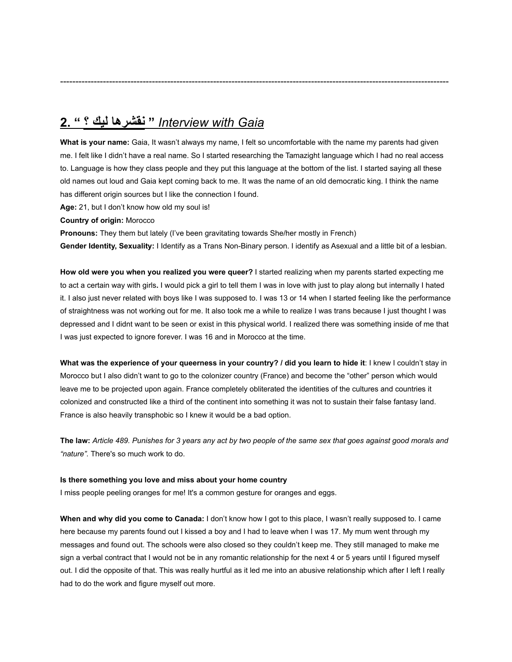# *Gaia with Interview* **" نقشرها ليك ؟ " 2.**

**What is your name:** Gaia, It wasn't always my name, I felt so uncomfortable with the name my parents had given me. I felt like I didn't have a real name. So I started researching the Tamazight language which I had no real access to. Language is how they class people and they put this language at the bottom of the list. I started saying all these old names out loud and Gaia kept coming back to me. It was the name of an old democratic king. I think the name has different origin sources but I like the connection I found.

-------------------------------------------------------------------------------------------------------------------------------

**Age:** 21, but I don't know how old my soul is!

**Country of origin:** Morocco

**Pronouns:** They them but lately (I've been gravitating towards She/her mostly in French) **Gender Identity, Sexuality:** I Identify as a Trans Non-Binary person. I identify as Asexual and a little bit of a lesbian.

**How old were you when you realized you were queer?** I started realizing when my parents started expecting me to act a certain way with girls**.** I would pick a girl to tell them I was in love with just to play along but internally I hated it. I also just never related with boys like I was supposed to. I was 13 or 14 when I started feeling like the performance of straightness was not working out for me. It also took me a while to realize I was trans because I just thought I was depressed and I didnt want to be seen or exist in this physical world. I realized there was something inside of me that I was just expected to ignore forever. I was 16 and in Morocco at the time.

**What was the experience of your queerness in your country? / did you learn to hide it**: I knew I couldn't stay in Morocco but I also didn't want to go to the colonizer country (France) and become the "other" person which would leave me to be projected upon again. France completely obliterated the identities of the cultures and countries it colonized and constructed like a third of the continent into something it was not to sustain their false fantasy land. France is also heavily transphobic so I knew it would be a bad option.

**The law:** *Article 489. Punishes for 3 years any act by two people of the same sex that goes against good morals and "nature".* There's so much work to do.

#### **Is there something you love and miss about your home country**

I miss people peeling oranges for me! It's a common gesture for oranges and eggs.

**When and why did you come to Canada:** I don't know how I got to this place, I wasn't really supposed to. I came here because my parents found out I kissed a boy and I had to leave when I was 17. My mum went through my messages and found out. The schools were also closed so they couldn't keep me. They still managed to make me sign a verbal contract that I would not be in any romantic relationship for the next 4 or 5 years until I figured myself out. I did the opposite of that. This was really hurtful as it led me into an abusive relationship which after I left I really had to do the work and figure myself out more.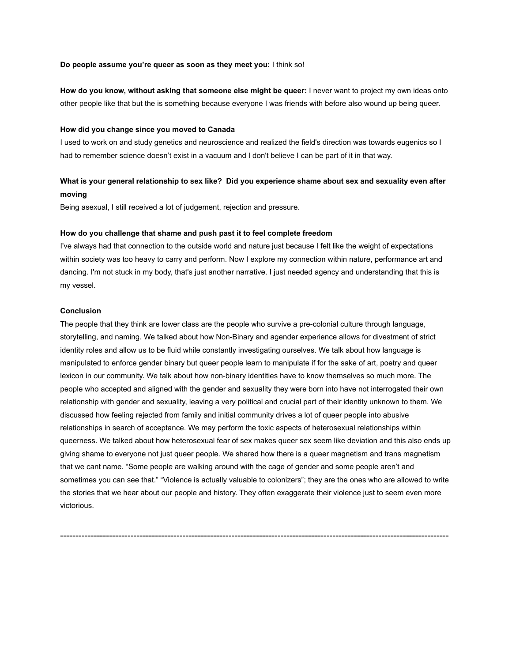#### **Do people assume you're queer as soon as they meet you:** I think so!

**How do you know, without asking that someone else might be queer:** I never want to project my own ideas onto other people like that but the is something because everyone I was friends with before also wound up being queer.

#### **How did you change since you moved to Canada**

I used to work on and study genetics and neuroscience and realized the field's direction was towards eugenics so I had to remember science doesn't exist in a vacuum and I don't believe I can be part of it in that way.

## **What is your general relationship to sex like? Did you experience shame about sex and sexuality even after moving**

Being asexual, I still received a lot of judgement, rejection and pressure.

#### **How do you challenge that shame and push past it to feel complete freedom**

I've always had that connection to the outside world and nature just because I felt like the weight of expectations within society was too heavy to carry and perform. Now I explore my connection within nature, performance art and dancing. I'm not stuck in my body, that's just another narrative. I just needed agency and understanding that this is my vessel.

#### **Conclusion**

The people that they think are lower class are the people who survive a pre-colonial culture through language, storytelling, and naming. We talked about how Non-Binary and agender experience allows for divestment of strict identity roles and allow us to be fluid while constantly investigating ourselves. We talk about how language is manipulated to enforce gender binary but queer people learn to manipulate if for the sake of art, poetry and queer lexicon in our community. We talk about how non-binary identities have to know themselves so much more. The people who accepted and aligned with the gender and sexuality they were born into have not interrogated their own relationship with gender and sexuality, leaving a very political and crucial part of their identity unknown to them. We discussed how feeling rejected from family and initial community drives a lot of queer people into abusive relationships in search of acceptance. We may perform the toxic aspects of heterosexual relationships within queerness. We talked about how heterosexual fear of sex makes queer sex seem like deviation and this also ends up giving shame to everyone not just queer people. We shared how there is a queer magnetism and trans magnetism that we cant name. "Some people are walking around with the cage of gender and some people aren't and sometimes you can see that." "Violence is actually valuable to colonizers"; they are the ones who are allowed to write the stories that we hear about our people and history. They often exaggerate their violence just to seem even more victorious.

-------------------------------------------------------------------------------------------------------------------------------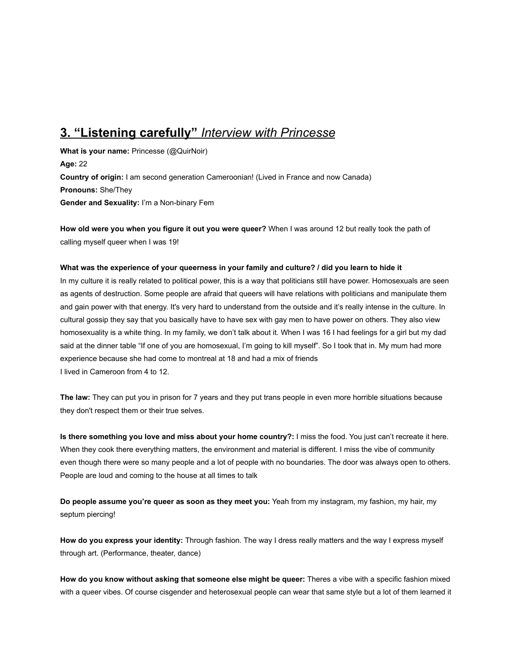# **3. "Listening carefully"** *Interview with Princesse*

**What is your name:** Princesse (@QuirNoir) **Age:** 22 **Country of origin:** I am second generation Cameroonian! (Lived in France and now Canada) **Pronouns:** She/They **Gender and Sexuality:** I'm a Non-binary Fem

**How old were you when you figure it out you were queer?** When I was around 12 but really took the path of calling myself queer when I was 19!

#### **What was the experience of your queerness in your family and culture? / did you learn to hide it**

In my culture it is really related to political power, this is a way that politicians still have power. Homosexuals are seen as agents of destruction. Some people are afraid that queers will have relations with politicians and manipulate them and gain power with that energy. It's very hard to understand from the outside and it's really intense in the culture. In cultural gossip they say that you basically have to have sex with gay men to have power on others. They also view homosexuality is a white thing. In my family, we don't talk about it. When I was 16 I had feelings for a girl but my dad said at the dinner table "If one of you are homosexual, I'm going to kill myself". So I took that in. My mum had more experience because she had come to montreal at 18 and had a mix of friends I lived in Cameroon from 4 to 12.

**The law:** They can put you in prison for 7 years and they put trans people in even more horrible situations because they don't respect them or their true selves.

**Is there something you love and miss about your home country?:** I miss the food. You just can't recreate it here. When they cook there everything matters, the environment and material is different. I miss the vibe of community even though there were so many people and a lot of people with no boundaries. The door was always open to others. People are loud and coming to the house at all times to talk

**Do people assume you're queer as soon as they meet you:** Yeah from my instagram, my fashion, my hair, my septum piercing!

**How do you express your identity:** Through fashion. The way I dress really matters and the way I express myself through art. (Performance, theater, dance)

**How do you know without asking that someone else might be queer:** Theres a vibe with a specific fashion mixed with a queer vibes. Of course cisgender and heterosexual people can wear that same style but a lot of them learned it